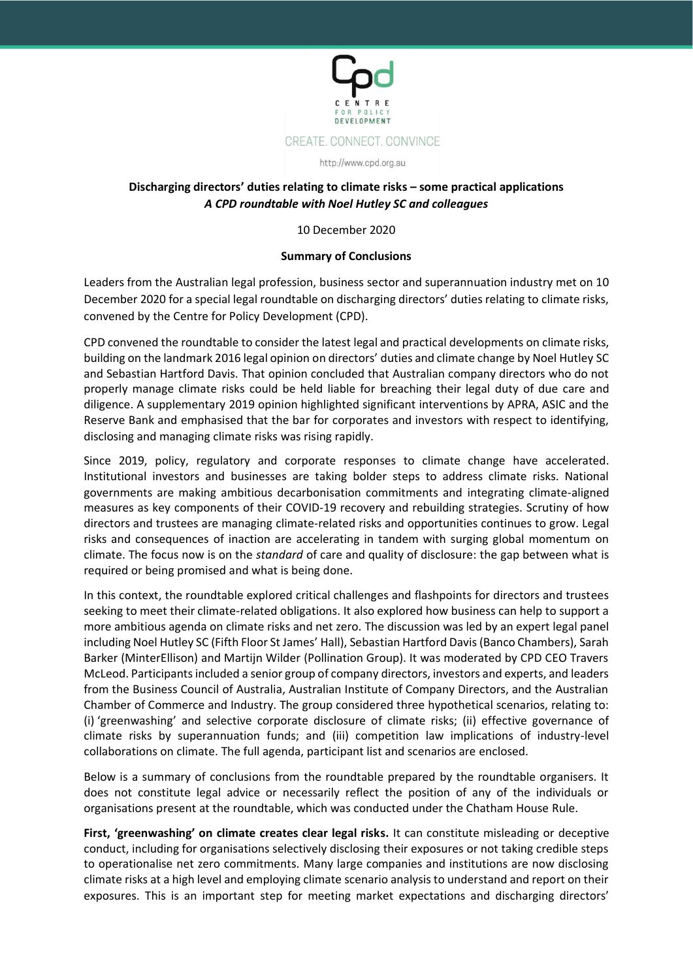

# **Discharging directors' duties relating to climate risks – some practical applications** *A CPD roundtable with Noel Hutley SC and colleagues*

## 10 December 2020

## **Summary of Conclusions**

Leaders from the Australian legal profession, business sector and superannuation industry met on 10 December 2020 for a special legal roundtable on discharging directors' duties relating to climate risks, convened by the Centre for Policy Development (CPD).

CPD convened the roundtable to consider the latest legal and practical developments on climate risks, building on the landmark 2016 legal opinion on directors' duties and climate change by Noel Hutley SC and Sebastian Hartford Davis. That opinion concluded that Australian company directors who do not properly manage climate risks could be held liable for breaching their legal duty of due care and diligence. A supplementary 2019 opinion highlighted significant interventions by APRA, ASIC and the Reserve Bank and emphasised that the bar for corporates and investors with respect to identifying, disclosing and managing climate risks was rising rapidly.

Since 2019, policy, regulatory and corporate responses to climate change have accelerated. Institutional investors and businesses are taking bolder steps to address climate risks. National governments are making ambitious decarbonisation commitments and integrating climate-aligned measures as key components of their COVID-19 recovery and rebuilding strategies. Scrutiny of how directors and trustees are managing climate-related risks and opportunities continues to grow. Legal risks and consequences of inaction are accelerating in tandem with surging global momentum on climate. The focus now is on the *standard* of care and quality of disclosure: the gap between what is required or being promised and what is being done.

In this context, the roundtable explored critical challenges and flashpoints for directors and trustees seeking to meet their climate-related obligations. It also explored how business can help to support a more ambitious agenda on climate risks and net zero. The discussion was led by an expert legal panel including Noel Hutley SC (Fifth Floor St James' Hall), Sebastian Hartford Davis (Banco Chambers), Sarah Barker (MinterEllison) and Martijn Wilder (Pollination Group). It was moderated by CPD CEO Travers McLeod. Participants included a senior group of company directors, investors and experts, and leaders from the Business Council of Australia, Australian Institute of Company Directors, and the Australian Chamber of Commerce and Industry. The group considered three hypothetical scenarios, relating to: (i) 'greenwashing' and selective corporate disclosure of climate risks; (ii) effective governance of climate risks by superannuation funds; and (iii) competition law implications of industry-level collaborations on climate. The full agenda, participant list and scenarios are enclosed.

Below is a summary of conclusions from the roundtable prepared by the roundtable organisers. It does not constitute legal advice or necessarily reflect the position of any of the individuals or organisations present at the roundtable, which was conducted under the Chatham House Rule.

**First, 'greenwashing' on climate creates clear legal risks.** It can constitute misleading or deceptive conduct, including for organisations selectively disclosing their exposures or not taking credible steps to operationalise net zero commitments. Many large companies and institutions are now disclosing climate risks at a high level and employing climate scenario analysis to understand and report on their exposures. This is an important step for meeting market expectations and discharging directors'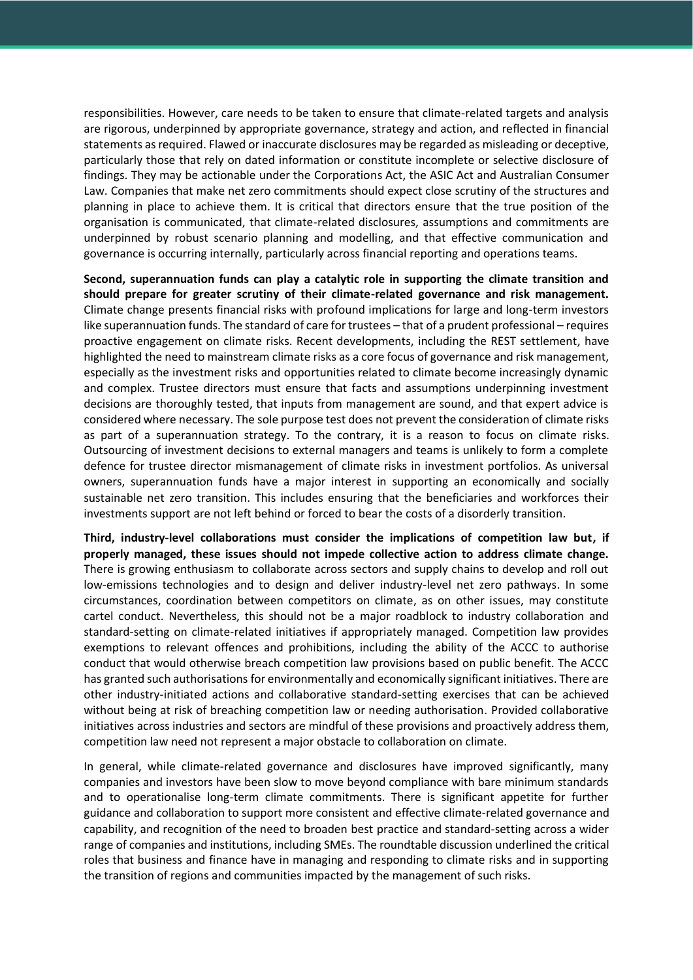responsibilities. However, care needs to be taken to ensure that climate-related targets and analysis are rigorous, underpinned by appropriate governance, strategy and action, and reflected in financial statements as required. Flawed or inaccurate disclosures may be regarded as misleading or deceptive, particularly those that rely on dated information or constitute incomplete or selective disclosure of findings. They may be actionable under the Corporations Act, the ASIC Act and Australian Consumer Law. Companies that make net zero commitments should expect close scrutiny of the structures and planning in place to achieve them. It is critical that directors ensure that the true position of the organisation is communicated, that climate-related disclosures, assumptions and commitments are underpinned by robust scenario planning and modelling, and that effective communication and governance is occurring internally, particularly across financial reporting and operations teams.

**Second, superannuation funds can play a catalytic role in supporting the climate transition and should prepare for greater scrutiny of their climate-related governance and risk management.**  Climate change presents financial risks with profound implications for large and long-term investors like superannuation funds. The standard of care for trustees – that of a prudent professional – requires proactive engagement on climate risks. Recent developments, including the REST settlement, have highlighted the need to mainstream climate risks as a core focus of governance and risk management, especially as the investment risks and opportunities related to climate become increasingly dynamic and complex. Trustee directors must ensure that facts and assumptions underpinning investment decisions are thoroughly tested, that inputs from management are sound, and that expert advice is considered where necessary. The sole purpose test does not prevent the consideration of climate risks as part of a superannuation strategy. To the contrary, it is a reason to focus on climate risks. Outsourcing of investment decisions to external managers and teams is unlikely to form a complete defence for trustee director mismanagement of climate risks in investment portfolios. As universal owners, superannuation funds have a major interest in supporting an economically and socially sustainable net zero transition. This includes ensuring that the beneficiaries and workforces their investments support are not left behind or forced to bear the costs of a disorderly transition.

**Third, industry-level collaborations must consider the implications of competition law but, if properly managed, these issues should not impede collective action to address climate change.**  There is growing enthusiasm to collaborate across sectors and supply chains to develop and roll out low-emissions technologies and to design and deliver industry-level net zero pathways. In some circumstances, coordination between competitors on climate, as on other issues, may constitute cartel conduct. Nevertheless, this should not be a major roadblock to industry collaboration and standard-setting on climate-related initiatives if appropriately managed. Competition law provides exemptions to relevant offences and prohibitions, including the ability of the ACCC to authorise conduct that would otherwise breach competition law provisions based on public benefit. The ACCC has granted such authorisations for environmentally and economically significant initiatives. There are other industry-initiated actions and collaborative standard-setting exercises that can be achieved without being at risk of breaching competition law or needing authorisation. Provided collaborative initiatives across industries and sectors are mindful of these provisions and proactively address them, competition law need not represent a major obstacle to collaboration on climate.

In general, while climate-related governance and disclosures have improved significantly, many companies and investors have been slow to move beyond compliance with bare minimum standards and to operationalise long-term climate commitments. There is significant appetite for further guidance and collaboration to support more consistent and effective climate-related governance and capability, and recognition of the need to broaden best practice and standard-setting across a wider range of companies and institutions, including SMEs. The roundtable discussion underlined the critical roles that business and finance have in managing and responding to climate risks and in supporting the transition of regions and communities impacted by the management of such risks.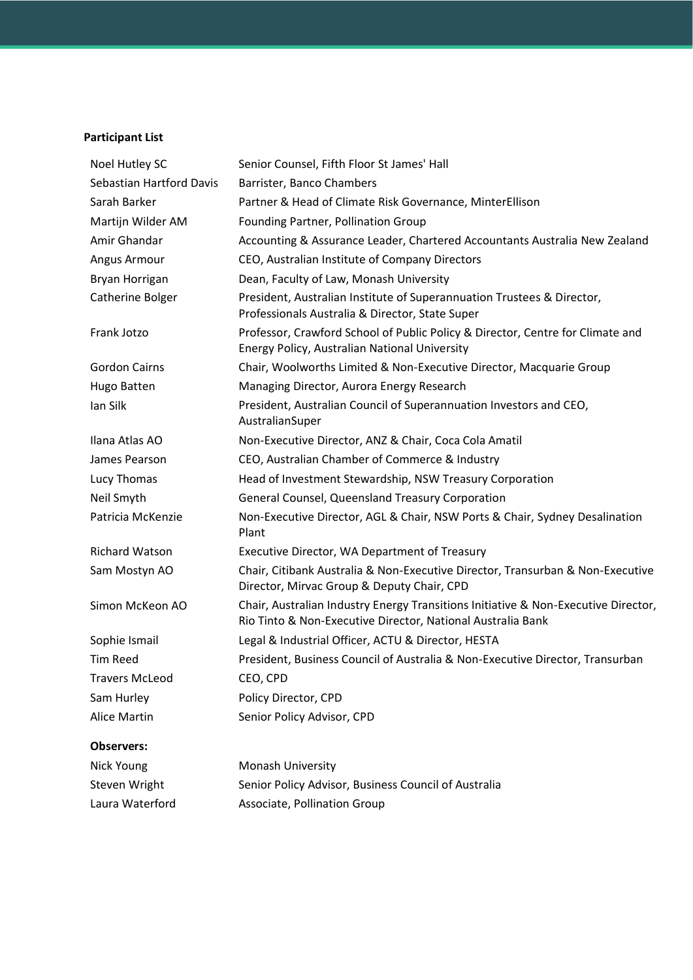# **Participant List**

| Noel Hutley SC           | Senior Counsel, Fifth Floor St James' Hall                                                                                                        |
|--------------------------|---------------------------------------------------------------------------------------------------------------------------------------------------|
| Sebastian Hartford Davis | Barrister, Banco Chambers                                                                                                                         |
| Sarah Barker             | Partner & Head of Climate Risk Governance, MinterEllison                                                                                          |
| Martijn Wilder AM        | Founding Partner, Pollination Group                                                                                                               |
| Amir Ghandar             | Accounting & Assurance Leader, Chartered Accountants Australia New Zealand                                                                        |
| Angus Armour             | CEO, Australian Institute of Company Directors                                                                                                    |
| Bryan Horrigan           | Dean, Faculty of Law, Monash University                                                                                                           |
| Catherine Bolger         | President, Australian Institute of Superannuation Trustees & Director,<br>Professionals Australia & Director, State Super                         |
| Frank Jotzo              | Professor, Crawford School of Public Policy & Director, Centre for Climate and<br>Energy Policy, Australian National University                   |
| <b>Gordon Cairns</b>     | Chair, Woolworths Limited & Non-Executive Director, Macquarie Group                                                                               |
| Hugo Batten              | Managing Director, Aurora Energy Research                                                                                                         |
| Ian Silk                 | President, Australian Council of Superannuation Investors and CEO,<br>AustralianSuper                                                             |
| Ilana Atlas AO           | Non-Executive Director, ANZ & Chair, Coca Cola Amatil                                                                                             |
| James Pearson            | CEO, Australian Chamber of Commerce & Industry                                                                                                    |
| Lucy Thomas              | Head of Investment Stewardship, NSW Treasury Corporation                                                                                          |
| Neil Smyth               | General Counsel, Queensland Treasury Corporation                                                                                                  |
| Patricia McKenzie        | Non-Executive Director, AGL & Chair, NSW Ports & Chair, Sydney Desalination<br>Plant                                                              |
| <b>Richard Watson</b>    | Executive Director, WA Department of Treasury                                                                                                     |
| Sam Mostyn AO            | Chair, Citibank Australia & Non-Executive Director, Transurban & Non-Executive<br>Director, Mirvac Group & Deputy Chair, CPD                      |
| Simon McKeon AO          | Chair, Australian Industry Energy Transitions Initiative & Non-Executive Director,<br>Rio Tinto & Non-Executive Director, National Australia Bank |
| Sophie Ismail            | Legal & Industrial Officer, ACTU & Director, HESTA                                                                                                |
| <b>Tim Reed</b>          | President, Business Council of Australia & Non-Executive Director, Transurban                                                                     |
| <b>Travers McLeod</b>    | CEO, CPD                                                                                                                                          |
| Sam Hurley               | Policy Director, CPD                                                                                                                              |
| <b>Alice Martin</b>      | Senior Policy Advisor, CPD                                                                                                                        |
| <b>Observers:</b>        |                                                                                                                                                   |
| Nick Young               | Monash University                                                                                                                                 |
| Steven Wright            | Senior Policy Advisor, Business Council of Australia                                                                                              |
| Laura Waterford          | Associate, Pollination Group                                                                                                                      |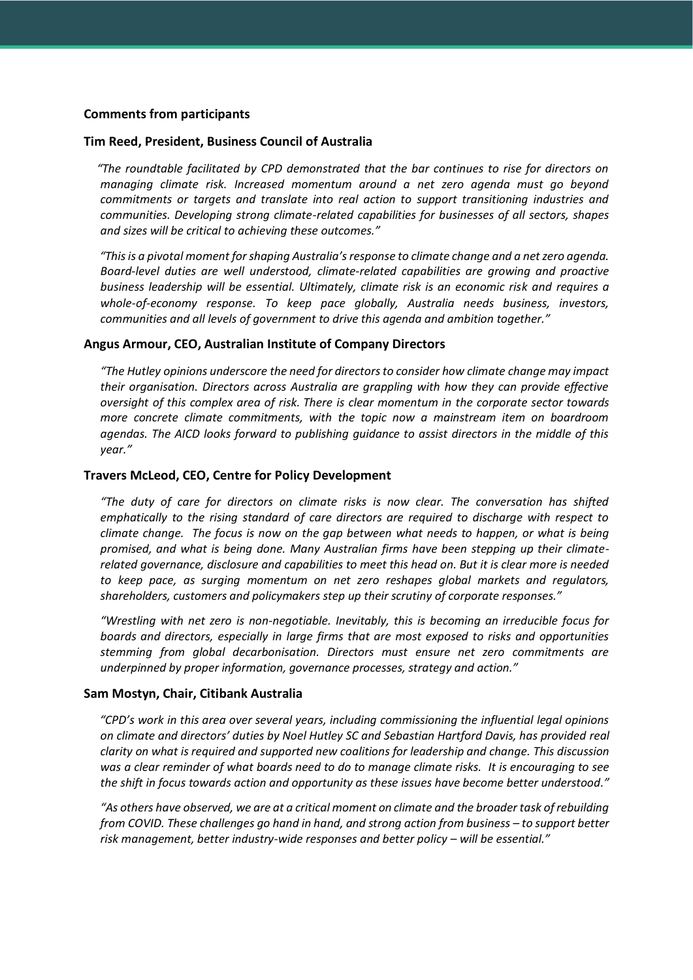# **Comments from participants**

#### **Tim Reed, President, Business Council of Australia**

*"The roundtable facilitated by CPD demonstrated that the bar continues to rise for directors on managing climate risk. Increased momentum around a net zero agenda must go beyond commitments or targets and translate into real action to support transitioning industries and communities. Developing strong climate-related capabilities for businesses of all sectors, shapes and sizes will be critical to achieving these outcomes."*

*"This is a pivotal moment for shaping Australia's response to climate change and a net zero agenda. Board-level duties are well understood, climate-related capabilities are growing and proactive business leadership will be essential. Ultimately, climate risk is an economic risk and requires a whole-of-economy response. To keep pace globally, Australia needs business, investors, communities and all levels of government to drive this agenda and ambition together."*

#### **Angus Armour, CEO, Australian Institute of Company Directors**

*"The Hutley opinions underscore the need for directors to consider how climate change may impact their organisation. Directors across Australia are grappling with how they can provide effective oversight of this complex area of risk. There is clear momentum in the corporate sector towards more concrete climate commitments, with the topic now a mainstream item on boardroom agendas. The AICD looks forward to publishing guidance to assist directors in the middle of this year."*

#### **Travers McLeod, CEO, Centre for Policy Development**

*"The duty of care for directors on climate risks is now clear. The conversation has shifted emphatically to the rising standard of care directors are required to discharge with respect to climate change. The focus is now on the gap between what needs to happen, or what is being promised, and what is being done. Many Australian firms have been stepping up their climaterelated governance, disclosure and capabilities to meet this head on. But it is clear more is needed to keep pace, as surging momentum on net zero reshapes global markets and regulators, shareholders, customers and policymakers step up their scrutiny of corporate responses."*

*"Wrestling with net zero is non-negotiable. Inevitably, this is becoming an irreducible focus for boards and directors, especially in large firms that are most exposed to risks and opportunities stemming from global decarbonisation. Directors must ensure net zero commitments are underpinned by proper information, governance processes, strategy and action."*

#### **Sam Mostyn, Chair, Citibank Australia**

*"CPD's work in this area over several years, including commissioning the influential legal opinions on climate and directors' duties by Noel Hutley SC and Sebastian Hartford Davis, has provided real clarity on what is required and supported new coalitions for leadership and change. This discussion was a clear reminder of what boards need to do to manage climate risks. It is encouraging to see the shift in focus towards action and opportunity as these issues have become better understood."*

*"As others have observed, we are at a critical moment on climate and the broader task of rebuilding from COVID. These challenges go hand in hand, and strong action from business – to support better risk management, better industry-wide responses and better policy – will be essential."*